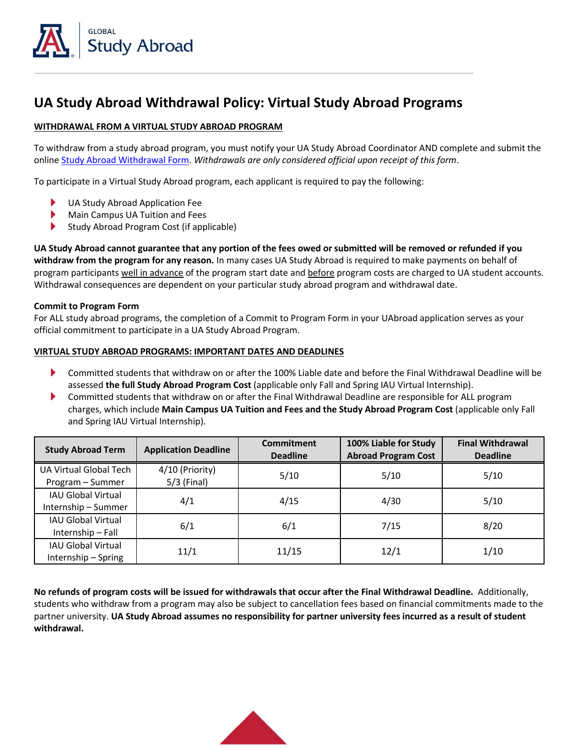

## **UA Study Abroad Withdrawal Policy: Virtual Study Abroad Programs**

## **WITHDRAWAL FROM A VIRTUAL STUDY ABROAD PROGRAM**

To withdraw from a study abroad program, you must notify your UA Study Abroad Coordinator AND complete and submit the online [Study Abroad Withdrawal Form.](https://global.arizona.edu/study-abroad-withdrawal-form) *Withdrawals are only considered official upon receipt of this form*.

To participate in a Virtual Study Abroad program, each applicant is required to pay the following:

- UA Study Abroad Application Fee
- ▶ Main Campus UA Tuition and Fees
- ▶ Study Abroad Program Cost (if applicable)

**UA Study Abroad cannot guarantee that any portion of the fees owed or submitted will be removed or refunded if you withdraw from the program for any reason.** In many cases UA Study Abroad is required to make payments on behalf of program participants well in advance of the program start date and before program costs are charged to UA student accounts. Withdrawal consequences are dependent on your particular study abroad program and withdrawal date.

## **Commit to Program Form**

For ALL study abroad programs, the completion of a Commit to Program Form in your UAbroad application serves as your official commitment to participate in a UA Study Abroad Program.

## **VIRTUAL STUDY ABROAD PROGRAMS: IMPORTANT DATES AND DEADLINES**

- ▶ Committed students that withdraw on or after the 100% Liable date and before the Final Withdrawal Deadline will be assessed **the full Study Abroad Program Cost** (applicable only Fall and Spring IAU Virtual Internship).
- ▶ Committed students that withdraw on or after the Final Withdrawal Deadline are responsible for ALL program charges, which include **Main Campus UA Tuition and Fees and the Study Abroad Program Cost** (applicable only Fall and Spring IAU Virtual Internship).

| <b>Study Abroad Term</b>                         | <b>Application Deadline</b>      | <b>Commitment</b><br><b>Deadline</b> | 100% Liable for Study<br><b>Abroad Program Cost</b> | <b>Final Withdrawal</b><br><b>Deadline</b> |
|--------------------------------------------------|----------------------------------|--------------------------------------|-----------------------------------------------------|--------------------------------------------|
| UA Virtual Global Tech<br>Program - Summer       | 4/10 (Priority)<br>$5/3$ (Final) | 5/10                                 | 5/10                                                | 5/10                                       |
| <b>IAU Global Virtual</b><br>Internship - Summer | 4/1                              | 4/15                                 | 4/30                                                | 5/10                                       |
| <b>IAU Global Virtual</b><br>Internship - Fall   | 6/1                              | 6/1                                  | 7/15                                                | 8/20                                       |
| <b>IAU Global Virtual</b><br>Internship - Spring | 11/1                             | 11/15                                | 12/1                                                | 1/10                                       |

**No refunds of program costs will be issued for withdrawals that occur after the Final Withdrawal Deadline.** Additionally, students who withdraw from a program may also be subject to cancellation fees based on financial commitments made to the partner university. **UA Study Abroad assumes no responsibility for partner university fees incurred as a result of student withdrawal.**